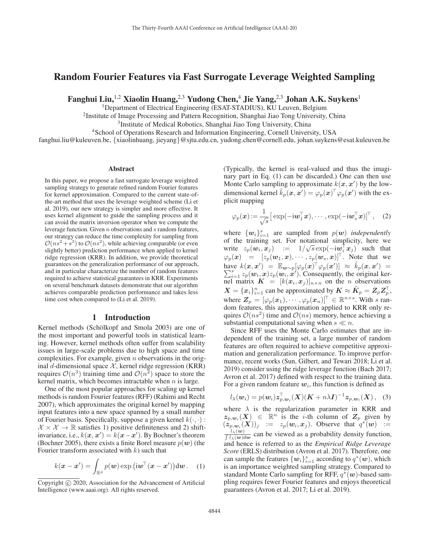# Random Fourier Features via Fast Surrogate Leverage Weighted Sampling

Fanghui Liu,<sup>1,2</sup> Xiaolin Huang,<sup>2,3</sup> Yudong Chen,<sup>4</sup> Jie Yang,<sup>2,3</sup> Johan A.K. Suykens<sup>1</sup>

<sup>1</sup>Department of Electrical Engineering (ESAT-STADIUS), KU Leuven, Belgium

<sup>2</sup>Institute of Image Processing and Pattern Recognition, Shanghai Jiao Tong University, China

3Institute of Medical Robotics, Shanghai Jiao Tong University, China

<sup>4</sup>School of Operations Research and Information Engineering, Cornell University, USA

fanghui.liu@kuleuven.be, {xiaolinhuang, jieyang}@sjtu.edu.cn, yudong.chen@cornell.edu, johan.suykens@esat.kuleuven.be

#### Abstract

In this paper, we propose a fast surrogate leverage weighted sampling strategy to generate refined random Fourier features for kernel approximation. Compared to the current state-ofthe-art method that uses the leverage weighted scheme (Li et al. 2019), our new strategy is simpler and more effective. It uses kernel alignment to guide the sampling process and it can avoid the matrix inversion operator when we compute the leverage function. Given n observations and s random features, our strategy can reduce the time complexity for sampling from  $\mathcal{O}(ns^2+s^3)$  to  $\mathcal{O}(ns^2)$ , while achieving comparable (or even slightly better) prediction performance when applied to kernel ridge regression (KRR). In addition, we provide theoretical guarantees on the generalization performance of our approach, and in particular characterize the number of random features required to achieve statistical guarantees in KRR. Experiments on several benchmark datasets demonstrate that our algorithm achieves comparable prediction performance and takes less time cost when compared to (Li et al. 2019).

#### 1 Introduction

Kernel methods (Schölkopf and Smola 2003) are one of the most important and powerful tools in statistical learning. However, kernel methods often suffer from scalability issues in large-scale problems due to high space and time complexities. For example, given  $n$  observations in the original d-dimensional space  $X$ , kernel ridge regression (KRR) requires  $\mathcal{O}(n^3)$  training time and  $\mathcal{O}(n^2)$  space to store the kernel matrix, which becomes intractable when  $n$  is large.

One of the most popular approaches for scaling up kernel methods is random Fourier features (RFF) (Rahimi and Recht 2007), which approximates the original kernel by mapping input features into a new space spanned by a small number of Fourier basis. Specifically, suppose a given kernel  $k(\cdot, \cdot)$ :  $\mathcal{X} \times \mathcal{X} \to \mathbb{R}$  satisfies 1) positive definiteness and 2) shiftinvariance, i.e.,  $k(x, x') = k(x - x')$ . By Bochner's theorem (Bochner 2005), there exists a finite Borel measure  $p(w)$  (the Fourier transform associated with  $k$ ) such that

$$
k(\boldsymbol{x} - \boldsymbol{x}') = \int_{\mathbb{R}^d} p(\boldsymbol{w}) \exp(i\boldsymbol{w}^\top(\boldsymbol{x} - \boldsymbol{x}')) \mathrm{d}\boldsymbol{w}.
$$
 (1)

(Typically, the kernel is real-valued and thus the imaginary part in Eq. (1) can be discarded.) One can then use Monte Carlo sampling to approximate  $k(x, x')$  by the lowdimensional kernel  $\tilde{k}_p(x, x') = \varphi_p(x)^\top \varphi_p(x')$  with the explicit mapping

$$
\varphi_p(\boldsymbol{x})\!:=\!\frac{1}{\sqrt{s}}\big[\exp(-\mathrm{i}\boldsymbol{w}_1^\top\boldsymbol{x}),\cdots,\exp(-\mathrm{i}\boldsymbol{w}_s^\top\boldsymbol{x})]^\top\,,\quad (2)
$$

where  $\{w_i\}_{i=1}^s$  are sampled from  $p(w)$  *independently* of the training set. For notational simplicity here we of the training set. For notational simplicity, here we write  $z_p(w_i, x_j) := 1/\sqrt{s} \exp(-i w_i^{\dagger} x_j)$  such that  $\varphi_p(x) = [z_p(w_1, x), \cdots, z_p(w_s, x)]^{\top}$ . Note that we have  $k(x, x') = \mathbb{E}_{w \sim p}[\varphi_p(x)^\top \varphi_p(x')] \approx \tilde{k}_p(x, x') = \sum_{i=1}^s z_p(w_i, x) z_p(w_i, x')$ . Consequently, the original ker- $\sum_{i=1}^{s} z_p(w_i, x) z_p(w_i, x')$ . Consequently, the original kernel matrix  $\mathbf{K} = [k(\mathbf{x}_i, \mathbf{x}_j)]_{n \times n}$  on the *n* observations  $X = \{x_i\}_{i=1}^n$  can be approximated by  $K \approx \tilde{K}_p = Z_p Z_p^{\top}$ , where  $Z_p$  is the contract of  $(x, y)$ <sup>T</sup>  $\in \mathbb{R}^{n \times s}$ . With some where  $\mathbf{Z}_p = [\varphi_p(\boldsymbol{x}_1), \cdots, \varphi_p(\boldsymbol{x}_n)]^\top \in \mathbb{R}^{n \times s}$ . With s random features, this approximation applied to KRR only requires  $\mathcal{O}(ns^2)$  time and  $\mathcal{O}(ns)$  memory, hence achieving a substantial computational saving when  $s \ll n$ .

Since RFF uses the Monte Carlo estimates that are independent of the training set, a large number of random features are often required to achieve competitive approximation and generalization performance. To improve performance, recent works (Sun, Gilbert, and Tewari 2018; Li et al. 2019) consider using the ridge leverage function (Bach 2017; Avron et al. 2017) defined with respect to the training data. For a given random feature  $w_i$ , this function is defined as

$$
l_{\lambda}(\boldsymbol{w}_i) = p(\boldsymbol{w}_i) \boldsymbol{z}_{p,\boldsymbol{w}_i}^{\top}(\boldsymbol{X})(\boldsymbol{K} + n\lambda \boldsymbol{I})^{-1} \boldsymbol{z}_{p,\boldsymbol{w}_i}(\boldsymbol{X}), \quad (3)
$$

where  $\lambda$  is the regularization parameter in KRR and  $z_{p,w_i}(X) \in \mathbb{R}^n$  is the *i*-th column of  $Z_p$  given by  $(z_p, w_i(X))_j$  :=  $z_p(w_i, x_j)$ . Observe that  $q^*(w)$  :=  $\frac{l_{\lambda}(w)}{\int l_{\lambda}(w)dw}$  can be viewed as a probability density function, and hence is referred to as the *Empirical Ridge Leverage Score* (ERLS) distribution (Avron et al. 2017). Therefore, one can sample the features  $\{w_i\}_{i=1}^s$  according to  $q^*(w)$ , which is an importance weighted sampling strategy Compared to is an importance weighted sampling strategy. Compared to standard Monte Carlo sampling for RFF, q∗(*w*)-based sampling requires fewer Fourier features and enjoys theoretical guarantees (Avron et al. 2017; Li et al. 2019).

Copyright  $\odot$  2020, Association for the Advancement of Artificial Intelligence (www.aaai.org). All rights reserved.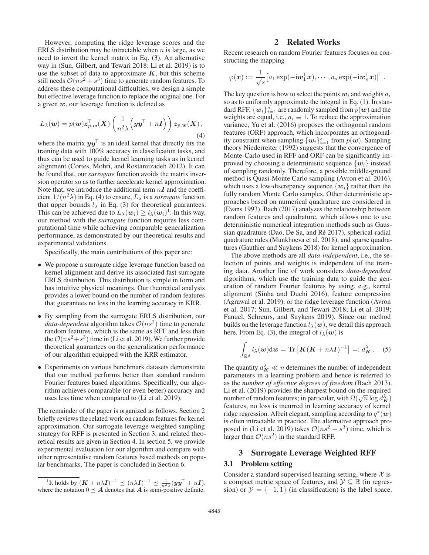However, computing the ridge leverage scores and the ERLS distribution may be intractable when  $n$  is large, as we need to invert the kernel matrix in Eq. (3). An alternative way in (Sun, Gilbert, and Tewari 2018; Li et al. 2019) is to use the subset of data to approximate  $K$ , but this scheme still needs  $\mathcal{O}(ns^2 + s^3)$  time to generate random features. To address these computational difficulties, we design a simple but effective leverage function to replace the original one. For a given *w*, our leverage function is defined as

$$
L_{\lambda}(\boldsymbol{w}) = p(\boldsymbol{w}) \boldsymbol{z}_{p,\boldsymbol{w}}^{\top}(\boldsymbol{X}) \left( \frac{1}{n^2 \lambda} \left( \boldsymbol{y} \boldsymbol{y}^{\top} + n \boldsymbol{I} \right) \right) \boldsymbol{z}_{p,\boldsymbol{w}}(\boldsymbol{X}), \tag{4}
$$

where the matrix  $yy^\top$  is an ideal kernel that directly fits the training data with 100% accuracy in classification tasks, and thus can be used to guide kernel learning tasks as in kernel alignment (Cortes, Mohri, and Rostamizadeh 2012). It can be found that, our *surrogate* function avoids the matrix inversion operator so as to further accelerate kernel approximation. Note that, we introduce the additional term  $nI$  and the coefficient  $1/(n^2\lambda)$  in Eq. (4) to ensure,  $L_\lambda$  is a *surrogate* function that upper bounds  $l_{\lambda}$  in Eq. (3) for theoretical guarantees. This can be achieved due to  $L_{\lambda}(\boldsymbol{w}_i) \geq l_{\lambda}(\boldsymbol{w}_i)^T$ . In this way, our method with the *surrogate* function requires less computational time while achieving comparable generalization performance, as demonstrated by our theoretical results and experimental validations.

Specifically, the main contributions of this paper are:

- We propose a surrogate ridge leverage function based on kernel alignment and derive its associated fast surrogate ERLS distribution. This distribution is simple in form and has intuitive physical meanings. Our theoretical analysis provides a lower bound on the number of random features that guarantees no loss in the learning accuracy in KRR.
- By sampling from the surrogate ERLS distribution, our *data-dependent* algorithm takes  $\mathcal{O}(ns^2)$  time to generate random features, which is the same as RFF and less than the  $\mathcal{O}(ns^2+s^3)$  time in (Li et al. 2019). We further provide theoretical guarantees on the generalization performance of our algorithm equipped with the KRR estimator.
- Experiments on various benchmark datasets demonstrate that our method performs better than standard random Fourier features based algorithms. Specifically, our algorithm achieves comparable (or even better) accuracy and uses less time when compared to (Li et al. 2019).

The remainder of the paper is organized as follows. Section 2 briefly reviews the related work on random features for kernel approximation. Our surrogate leverage weighted sampling strategy for RFF is presented in Section 3, and related theoretical results are given in Section 4. In section 5, we provide experimental evaluation for our algorithm and compare with other representative random features based methods on popular benchmarks. The paper is concluded in Section 6.

## 2 Related Works

Recent research on random Fourier features focuses on constructing the mapping

$$
\varphi(\boldsymbol{x}):=\frac{1}{\sqrt{s}}\big[a_1\exp(-\mathrm{i}\boldsymbol{w}_1^\top\boldsymbol{x}),\cdots,a_s\exp(-\mathrm{i}\boldsymbol{w}_s^\top\boldsymbol{x})\big]^\top\,.
$$

The key question is how to select the points  $w_i$  and weights  $a_i$ so as to uniformly approximate the integral in Eq. (1). In standard RFF,  $\{w_i\}_{i=1}^s$  are randomly sampled from  $p(w)$  and the weights are equal i.e.  $q_i = 1$ . To reduce the approximation weights are equal, i.e.,  $a_i \equiv 1$ . To reduce the approximation variance, Yu et al. (2016) proposes the orthogonal random features (ORF) approach, which incorporates an orthogonality constraint when sampling  $\{w_i\}_{i=1}^s$  from  $p(w)$ . Sampling theory Niederreiter (1992) suggests that the convergence of theory Niederreiter (1992) suggests that the convergence of Monte-Carlo used in RFF and ORF can be significantly improved by choosing a deterministic sequence  $\{w_i\}$  instead of sampling randomly. Therefore, a possible middle-ground method is Quasi-Monte Carlo sampling (Avron et al. 2016), which uses a low-discrepancy sequence  $\{w_i\}$  rather than the fully random Monte Carlo samples. Other deterministic approaches based on numerical quadrature are considered in (Evans 1993). Bach (2017) analyzes the relationship between random features and quadrature, which allows one to use deterministic numerical integration methods such as Gaussian quadrature (Dao, De Sa, and  $Ré 2017$ ), spherical-radial quadrature rules (Munkhoeva et al. 2018), and sparse quadratures (Gauthier and Suykens 2018) for kernel approximation.

The above methods are all *data-independent*, i.e., the selection of points and weights is independent of the training data. Another line of work considers *data-dependent* algorithms, which use the training data to guide the generation of random Fourier features by using, e.g., kernel alignment (Sinha and Duchi 2016), feature compression (Agrawal et al. 2019), or the ridge leverage function (Avron et al. 2017; Sun, Gilbert, and Tewari 2018; Li et al. 2019; Fanuel, Schreurs, and Suykens 2019). Since our method builds on the leverage function  $l_{\lambda}(\boldsymbol{w})$ , we detail this approach here. From Eq. (3), the integral of  $l_{\lambda}(\boldsymbol{w})$  is

$$
\int_{\mathbb{R}^d} l_{\lambda}(\boldsymbol{w}) \mathrm{d} \boldsymbol{w} = \mathrm{Tr} \left[ \boldsymbol{K} (\boldsymbol{K} + n \lambda \boldsymbol{I})^{-1} \right] =: d_{\boldsymbol{K}}^{\lambda} . \quad (5)
$$

The quantity  $d_K^{\lambda} \ll n$  determines the number of independent parameters in a learning problem and hence is referred to as the *number of effective degrees of freedom* (Bach 2013). Li et al. (2019) provides the sharpest bound on the required Let al. (2019) provides the sharpest bound on the required number of random features; in particular, with  $\Omega(\sqrt{n} \log d_K^{\lambda})$ features, no loss is incurred in learning accuracy of kernel ridge regression. Albeit elegant, sampling according to  $q^*(w)$ is often intractable in practice. The alternative approach proposed in (Li et al. 2019) takes  $\mathcal{O}(ns^2 + s^3)$  time, which is larger than  $\mathcal{O}(ns^2)$  in the standard RFF.

#### 3 Surrogate Leverage Weighted RFF

#### 3.1 Problem setting

Consider a standard supervised learning setting, where  $X$  is a compact metric space of features, and  $\mathcal{Y} \subseteq \mathbb{R}$  (in regression) or  $\mathcal{Y} = \{-1, 1\}$  (in classification) is the label space.

<sup>&</sup>lt;sup>1</sup>It holds by  $(K + n\lambda I)^{-1} \preceq (n\lambda I)^{-1} \preceq \frac{1}{n^2\lambda}(yy^{\top} + nI),$ where the notation  $0 \leq A$  denotes that A is semi-positive definite.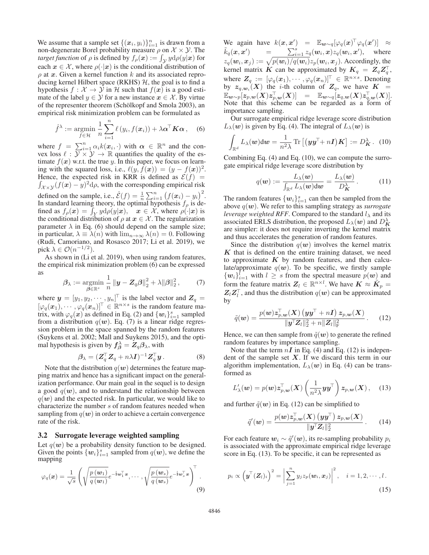We assume that a sample set  $\{(\mathbf{x}_i, y_i)\}_{i=1}^n$  is drawn from a non-degenerate Borel probability measure  $\rho$  on  $\mathcal{X} \times \mathcal{Y}$ . The non-degenerate Borel probability measure  $\rho$  on  $\mathcal{X} \times \mathcal{Y}$ . The *target function* of  $\rho$  is defined by  $f_{\rho}(\mathbf{x}) := \int_{\mathcal{Y}} y d\rho(y|\mathbf{x})$  for each  $x \in \mathcal{X}$ , where  $\rho(\cdot|x)$  is the conditional distribution of  $\rho$  at *x*. Given a kernel function k and its associated reproducing kernel Hilbert space (RKHS)  $H$ , the goal is to find a hypothesis  $f : \mathcal{X} \to \mathcal{Y}$  in H such that  $f(x)$  is a good estimate of the label  $y \in Y$  for a new instance  $x \in \mathcal{X}$ . By virtue of the representer theorem (Schölkopf and Smola 2003), an empirical risk minimization problem can be formulated as

$$
\hat{f}^{\lambda} := \underset{f \in \mathcal{H}}{\operatorname{argmin}} \frac{1}{n} \sum_{i=1}^{n} \ell(y_i, f(\boldsymbol{x}_i)) + \lambda \boldsymbol{\alpha}^{\top} \boldsymbol{K} \boldsymbol{\alpha}, \quad (6)
$$

where  $f = \sum_{i=1}^{n} \alpha_i k(x_i, \cdot)$  with  $\alpha \in \mathbb{R}^n$  and the con-<br>vex loss  $\ell : \mathcal{Y} \times \mathcal{Y} \to \mathbb{R}$  quantifies the quality of the estimate  $f(x)$  w.r.t. the true y. In this paper, we focus on learning with the squared loss, i.e.,  $\ell(y, f(x)) = (y - f(x))^2$ . Hence, the expected risk in KRR is defined as  $\mathcal{E}(f)$  =  $\int_{\mathcal{X}\times\mathcal{Y}} (f(\boldsymbol{x}) - y)^2 d\rho$ , with the corresponding empirical risk defined on the sample, i.e.,  $\hat{\mathcal{E}}(f) = \frac{1}{n} \sum_{i=1}^{n} (f(x_i) - y_i)^2$ .<br>In standard learning theory the optimal hypothesis f, is de-In standard learning theory, the optimal hypothesis  $f_{\rho}$  is defined as  $f_{\rho}(\boldsymbol{x}) = \int_{\boldsymbol{Y}} y \mathrm{d}\rho(y|\boldsymbol{x}), \quad \boldsymbol{x} \in \mathcal{X}$ , where  $\rho(\cdot|\boldsymbol{x})$  is the conditional distribution of  $\rho$  at  $x \in \mathcal{X}$ . The regularization parameter  $\lambda$  in Eq. (6) should depend on the sample size; in particular,  $\lambda \equiv \lambda(n)$  with  $\lim_{n\to\infty} \lambda(n)=0$ . Following (Rudi, Camoriano, and Rosasco 2017; Li et al. 2019), we pick  $\lambda \in \mathcal{O}(n^{-1/2})$ .

As shown in (Li et al. 2019), when using random features, the empirical risk minimization problem (6) can be expressed as

$$
\beta_{\lambda} := \operatorname*{argmin}_{\boldsymbol{\beta} \in \mathbb{R}^s} \frac{1}{n} \|\boldsymbol{y} - \boldsymbol{Z}_q \boldsymbol{\beta}\|_2^2 + \lambda \|\boldsymbol{\beta}\|_2^2, \qquad (7)
$$

where  $y = [y_1, y_2, \dots, y_n]^\top$  is the label vector and  $Z_q =$  $[\varphi_q(\boldsymbol{x}_1), \cdots, \varphi_q(\boldsymbol{x}_n)]^\top \in \mathbb{R}^{n \times s}$  is the random feature matrix, with  $\varphi_q(x)$  as defined in Eq. (2) and  $\{w_i\}_{i=1}^s$  sampled<br>from a distribution  $q(w)$ . Eq. (7) is a linear ridge regresfrom a distribution  $q(w)$ . Eq. (7) is a linear ridge regression problem in the space spanned by the random features (Suykens et al. 2002; Mall and Suykens 2015), and the optimal hypothesis is given by  $f^{\lambda}_{\beta} = Z_q \beta_{\lambda}$ , with

$$
\beta_{\lambda} = (Z_q^{\top} Z_q + n\lambda I)^{-1} Z_q^{\top} y. \tag{8}
$$

Note that the distribution  $q(w)$  determines the feature mapping matrix and hence has a significant impact on the generalization performance. Our main goal in the sequel is to design a good  $q(w)$ , and to understand the relationship between  $q(w)$  and the expected risk. In particular, we would like to characterize the number s of random features needed when sampling from  $q(w)$  in order to achieve a certain convergence rate of the risk.

#### 3.2 Surrogate leverage weighted sampling

Let  $q(w)$  be a probability density function to be designed. Given the points  $\{w_i\}_{i=1}^s$  sampled from  $q(w)$ , we define the mapping mapping

$$
\varphi_q(\boldsymbol{x}) = \frac{1}{\sqrt{s}} \left( \sqrt{\frac{p(\boldsymbol{w}_1)}{q(\boldsymbol{w}_1)}} e^{-\mathrm{i}\boldsymbol{w}_1^\top \boldsymbol{x}}, \cdots, \sqrt{\frac{p(\boldsymbol{w}_s)}{q(\boldsymbol{w}_s)}} e^{-\mathrm{i}\boldsymbol{w}_s^\top \boldsymbol{x}} \right)^\top.
$$
\n(9)

We again have  $k(x, x') = \mathbb{E}_{w \sim q} [\varphi_q(x)^\top \varphi_q(x')] \approx$  $\tilde{k}_q(\bm{x},\bm{x}^{\prime}% )\equiv\left\{ \begin{array}{cl} \frac{\partial\mathcal{L}}{\partial\bm{x}^{\prime}} & \frac{\partial\mathcal{L}}{\partial\bm{x}^{\prime}} & \frac{\partial\mathcal{L}}{\partial\bm{x}^{\prime}}\ \frac{\partial\mathcal{L}}{\partial\bm{x}^{\prime}} & \frac{\partial\mathcal{L}}{\partial\bm{x}^{\prime}}\ \frac{\partial\mathcal{L}}{\partial\bm{x}^{\prime}} & \frac{\partial\mathcal{L}}{\partial\bm{x}^{\prime}}\ \frac{\partial\mathcal{L}}{\partial\bm{x}^{\prime}} & \frac{\partial\mathcal{L}}{\partial\bm{x}^{\prime}}$  $\alpha = \alpha$  $\sum_{i=1}^{s} z_q(\mathbf{w}_i, \mathbf{x}) z_q(\mathbf{w}_i, \mathbf{x}')$ , where  $z_q(\mathbf{w}_i, \mathbf{x}_j) := \sqrt{p(\mathbf{w}_i)/q(\mathbf{w}_i)} z_p(\mathbf{w}_i, \mathbf{x}_j)$ . Accordingly, the kernel matrix K can be approximated by  $K_q = Z_q Z_q^{\dagger}$ , where  $\mathbf{Z}_q := [\varphi_q(\boldsymbol{x}_1), \cdots, \varphi_q(\boldsymbol{x}_n)]^\top \in \mathbb{R}^{n \times s}$ . Denoting<br>by  $z_{q,w_i}(X)$  the *i*-th column of  $\mathbf{Z}_q$ , we have  $K =$  $\mathbb{E}_{\boldsymbol{w}\sim p}[\boldsymbol{z}_{p,\boldsymbol{w}}(\boldsymbol{X})\boldsymbol{z}_{p,\boldsymbol{w}}^{\top}(\boldsymbol{X})] \quad = \quad \mathbb{E}_{\boldsymbol{w}\sim q}[\boldsymbol{z}_{q,\boldsymbol{w}}(\boldsymbol{X})\boldsymbol{z}_{q,\boldsymbol{w}}^{\top}(\boldsymbol{X})].$ Note that this scheme can be regarded as a form of importance sampling.

Our surrogate empirical ridge leverage score distribution  $L_{\lambda}(\boldsymbol{w})$  is given by Eq. (4). The integral of  $L_{\lambda}(\boldsymbol{w})$  is

$$
\int_{\mathbb{R}^d} L_{\lambda}(\boldsymbol{w}) \mathrm{d} \boldsymbol{w} = \frac{1}{n^2 \lambda} \operatorname{Tr} \left[ \left( \boldsymbol{y} \boldsymbol{y}^{\top} + n \boldsymbol{I} \right) \boldsymbol{K} \right] := D_{\boldsymbol{K}}^{\lambda} . \tag{10}
$$

Combining Eq. (4) and Eq. (10), we can compute the surrogate empirical ridge leverage score distribution by

$$
q(\boldsymbol{w}) := \frac{L_{\lambda}(\boldsymbol{w})}{\int_{\mathbb{R}^d} L_{\lambda}(\boldsymbol{w}) d\boldsymbol{w}} = \frac{L_{\lambda}(\boldsymbol{w})}{D_{\mathbf{K}}^{\lambda}}.
$$
 (11)

The random features  $\{w_i\}_{i=1}^s$  can then be sampled from the showe  $a(w)$ . We refer to this sampling strategy as *surrogate* above q(*w*). We refer to this sampling strategy as *surrogate leverage weighted RFF*. Compared to the standard  $l_{\lambda}$  and its associated ERLS distribution, the proposed  $L_{\lambda}(\boldsymbol{w})$  and  $D_K^{\lambda}$ are simpler: it does not require inverting the kernel matrix and thus accelerates the generation of random features.

Since the distribution  $q(w)$  involves the kernel matrix *K* that is defined on the entire training dataset, we need to approximate  $K$  by random features, and then calculate/approximate  $q(w)$ . To be specific, we firstly sample  ${w_i}_{i=1}^t$  with  $i \geq s$  from the spectral measure  $p(w)$  and form the feature matrix  $Z \in \mathbb{R}^{n \times l}$ . We have  $K \propto \tilde{K}$ form the feature matrix  $Z_l \in \mathbb{R}^{n \times l}$ . We have  $K \approx \tilde{K}_p =$  $Z_l Z_l^{\top}$ , and thus the distribution  $q(w)$  can be approximated by

$$
\tilde{q}(\boldsymbol{w}) = \frac{p(\boldsymbol{w})\mathbf{z}_{p,\boldsymbol{w}}^{\top}(\boldsymbol{X})\left(\boldsymbol{y}\boldsymbol{y}^{\top} + n\boldsymbol{I}\right)\mathbf{z}_{p,\boldsymbol{w}}(\boldsymbol{X})}{\|\boldsymbol{y}^{\top}\boldsymbol{Z}_{l}\|_{2}^{2} + n\|\boldsymbol{Z}_{l}\|_{\mathrm{F}}^{2}}.
$$
 (12)

Hence, we can then sample from  $\tilde{q}(\boldsymbol{w})$  to generate the refined random features by importance sampling.

Note that the term  $nI$  in Eq. (4) and Eq. (12) is independent of the sample set  $X$ . If we discard this term in our algorithm implementation,  $L_{\lambda}(\boldsymbol{w})$  in Eq. (4) can be transformed as

$$
L'_{\lambda}(\boldsymbol{w}) = p(\boldsymbol{w}) \boldsymbol{z}_{p,\boldsymbol{w}}^{\top}(\boldsymbol{X}) \left( \frac{1}{n^2 \lambda} \boldsymbol{y} \boldsymbol{y}^{\top} \right) \boldsymbol{z}_{p,\boldsymbol{w}}(\boldsymbol{X}), \quad (13)
$$

and further  $\tilde{q}(\boldsymbol{w})$  in Eq. (12) can be simplified to

$$
\tilde{q}'(\boldsymbol{w}) = \frac{p(\boldsymbol{w})\boldsymbol{z}_{p,\boldsymbol{w}}^{\top}(\boldsymbol{X})\left(\boldsymbol{y}\boldsymbol{y}^{\top}\right)\boldsymbol{z}_{p,\boldsymbol{w}}(\boldsymbol{X})}{\|\boldsymbol{y}^{\top}\boldsymbol{Z}_{l}\|_{2}^{2}}.
$$
 (14)

For each feature  $w_i \sim \tilde{q}'(w)$ , its re-sampling probability  $p_i$ is associated with the approximate empirical ridge leverage score in Eq. (13). To be specific, it can be represented as

$$
p_i \propto \left(\boldsymbol{y}^{\top}(\boldsymbol{Z}_l)_i\right)^2 = \left|\sum_{j=1}^n y_j z_p(\boldsymbol{w}_i, \boldsymbol{x}_j)\right|^2, \quad i = 1, 2, \cdots, l.
$$
\n(15)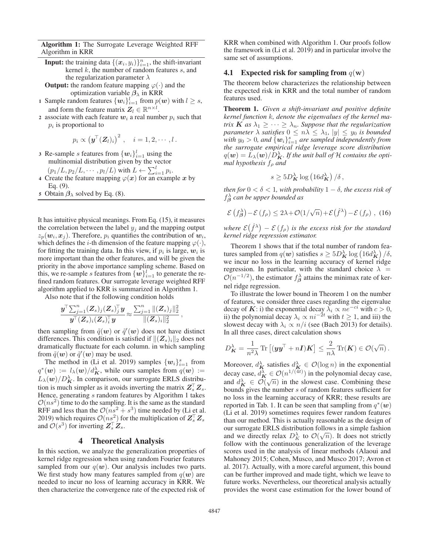Algorithm 1: The Surrogate Leverage Weighted RFF Algorithm in KRR

- **Input:** the training data  $\{(x_i, y_i)\}_{i=1}^n$ , the shift-invariant kernel k the number of random features s and kernel  $k$ , the number of random features  $s$ , and the regularization parameter  $\lambda$
- **Output:** the random feature mapping  $\varphi(\cdot)$  and the optimization variable *β*<sup>λ</sup> in KRR
- 1 Sample random features  $\{w_i\}_{i=1}^l$  from  $p(w)$  with  $l \geq s$ , and form the feature matrix  $Z_l \in \mathbb{R}^{n \times l}$ .
- 2 associate with each feature  $w_i$  a real number  $p_i$  such that  $p_i$  is proportional to

$$
p_i \propto \left(\boldsymbol{y}^{\top}(\boldsymbol{Z}_{l})_i\right)^2, \quad i=1,2,\cdots,l\,.
$$

- 3 Re-sample *s* features from  $\{w_i\}_{i=1}^l$  using the multinomial distribution given by the vector multinomial distribution given by the vector
	- $(p_1/L, p_2/L, \cdots, p_l/L)$  with  $L \leftarrow \sum_{i=1}^l p_i$ .<br>Treate the feature manning  $\varphi(x)$  for an example.
- 4 Create the feature mapping  $\varphi(x)$  for an example x by Eq. (9).
- 5 Obtain  $\beta_{\lambda}$  solved by Eq. (8).

It has intuitive physical meanings. From Eq. (15), it measures the correlation between the label  $y_i$  and the mapping output  $z_p(\boldsymbol{w}_i, \boldsymbol{x}_j)$ . Therefore,  $p_i$  quantifies the contribution of  $\boldsymbol{w}_i$ , which defines the *i*-th dimension of the feature mapping  $\varphi(\cdot)$ , for fitting the training data. In this view, if  $p_i$  is large,  $w_i$  is more important than the other features, and will be given the priority in the above importance sampling scheme. Based on this, we re-sample s features from  $\{w\}_{i=1}^l$  to generate the re-<br>fined random features. Our surrogate leverage weighted RFF fined random features. Our surrogate leverage weighted RFF algorithm applied to KRR is summarized in Algorithm 1.

Also note that if the following condition holds

$$
\frac{\boldsymbol{y}^{\!\top}\!\sum_{j=1}^n (\boldsymbol{Z}_s)_j (\boldsymbol{Z}_s)_j^{\!\top}\boldsymbol{y}}{\boldsymbol{y}^{\!\top}(\boldsymbol{Z}_s)_i (\boldsymbol{Z}_s)_i^{\!\top}\boldsymbol{y}}\!\approx\!\frac{\sum_{j=1}^n \|(\boldsymbol{Z}_s)_j\|_2^2}{\|(\boldsymbol{Z}_s)_i\|_2^2}\,,
$$

then sampling from  $\tilde{q}(\boldsymbol{w})$  or  $\tilde{q}'(\boldsymbol{w})$  does not have distinct differences. This condition is satisfied if  $\|(Z_s)_i\|_2$  does not<br>dramatically fluctuate for each column in which sampling dramatically fluctuate for each column. in which sampling from  $\tilde{q}(\boldsymbol{w})$  or  $\tilde{q}'(\boldsymbol{w})$  may be used.

The method in (Li et al. 2019) samples  $\{w_i\}_{i=1}^s$  from  $(a_n) := l_n(a_n)/d^{\lambda}$  while ours samples from  $a(u_n) :=$  $q^*(\mathbf{w}) := l_{\lambda}(\mathbf{w})/d_K^{\lambda}$ , while ours samples from  $q(\mathbf{w}) :=$  $L_{\lambda}(\boldsymbol{w})/D_{\boldsymbol{K}}^{\lambda}$ . In comparison, our surrogate ERLS distribution is much simpler as it avoids inverting the matrix  $Z_s^{\dagger} Z_s$ . Hence, generating s random features by Algorithm 1 takes  $\mathcal{O}(ns^2)$  time to do the sampling. It is the same as the standard RFF and less than the  $\mathcal{O}(ns^2 + s^3)$  time needed by (Li et al. 2019) which requires  $\mathcal{O}(n s^2)$  for the multiplication of  $\mathbf{Z}_s^{\top} \mathbf{Z}_s$ and  $\mathcal{O}(s^3)$  for inverting  $\mathbf{Z}_s^{\top} \mathbf{Z}_s$ .

### 4 Theoretical Analysis

In this section, we analyze the generalization properties of kernel ridge regression when using random Fourier features sampled from our  $q(w)$ . Our analysis includes two parts. We first study how many features sampled from  $q(w)$  are needed to incur no loss of learning accuracy in KRR. We then characterize the convergence rate of the expected risk of

KRR when combined with Algorithm 1. Our proofs follow the framework in (Li et al. 2019) and in particular involve the same set of assumptions.

#### **4.1** Expected risk for sampling from  $q(\mathbf{w})$

The theorem below characterizes the relationship between the expected risk in KRR and the total number of random features used.

Theorem 1. *Given a shift-invariant and positive definite kernel function* k*, denote the eigenvalues of the kernel matrix*  $K$  *as*  $\lambda_1 \geq \cdots \geq \lambda_n$ *. Suppose that the regularization parameter*  $\lambda$  *satisfies*  $0 \le n\lambda \le \lambda_1$ ,  $|y| \le y_0$  *is bounded*<br>with  $y_0 > 0$  and  $\{y_0\}^s$  are sampled independently from  $w$ ith  $y_0 > 0$ , and  $\{w_i\}_{i=1}^s$  are sampled independently from<br>the surrogate empirical ridge leverage score distribution *the surrogate empirical ridge leverage score distribution*  $q(\boldsymbol{w}) = L_{\lambda}(\boldsymbol{w}) / D_{\boldsymbol{K}}^{\lambda}$ . If the unit ball of H contains the opti*mal hypothesis*  $f$ <sup>ρ</sup> *and* 

$$
s \ge 5D_{\mathbf{K}}^{\lambda} \log \left( 16d_{\mathbf{K}}^{\lambda} \right) / \delta \,,
$$

*then for*  $0 < \delta < 1$ *, with probability*  $1 - \delta$ *, the excess risk of* f<sup>λ</sup> *<sup>β</sup> can be upper bounded as*

$$
\mathcal{E}(f_{\boldsymbol{\beta}}^{\lambda}) - \mathcal{E}(f_{\rho}) \le 2\lambda + \mathcal{O}(1/\sqrt{n}) + \mathcal{E}(\hat{f}^{\lambda}) - \mathcal{E}(f_{\rho}), \quad (16)
$$

where  $\mathcal{E}(\hat{f}^{\lambda}) - \mathcal{E}(f_{\rho})$  is the excess risk for the standard *kernel ridge regression estimator.*

Theorem 1 shows that if the total number of random features sampled from  $q(\boldsymbol{w})$  satisfies  $s \geq 5D_K^{\lambda} \log \left(16d_K^{\lambda}\right)/\delta$ , we incur no loss in the learning accuracy of kernel ridge regression. In particular, with the standard choice  $\lambda =$  $\mathcal{O}(n^{-1/2})$ , the estimator  $f_{\beta}^{\lambda}$  attains the minimax rate of kernel ridge regression.

To illustrate the lower bound in Theorem 1 on the number of features, we consider three cases regarding the eigenvalue decay of  $\overrightarrow{K}$ : i) the exponential decay  $\overline{\lambda}_i \propto n e^{-ci}$  with  $c > 0$ , ii) the polynomial decay  $\lambda_i \propto ni^{-2t}$  with  $t \geq 1$ , and iii) the slowest decay with  $\lambda_i \propto n/i$  (see (Bach 2013) for details). In all three cases, direct calculation shows

$$
D_{\mathbf{K}}^{\lambda} = \frac{1}{n^2 \lambda} \operatorname{Tr} \left[ (\mathbf{y} \mathbf{y}^{\top} + n\mathbf{I}) \mathbf{K} \right] \le \frac{2}{n \lambda} \operatorname{Tr}(\mathbf{K}) \in \mathcal{O}(\sqrt{n}).
$$

Moreover,  $d_K^{\lambda}$  satisfies  $d_K^{\lambda} \in \mathcal{O}(\log n)$  in the exponential decay case,  $\tilde{d}_{\mathbf{K}}^{\lambda} \in \mathcal{O}(n^{1/(\tilde{4}t)})$  in the polynomial decay case, and  $d_K^{\lambda} \in \mathcal{O}(\sqrt{n})$  in the slowest case. Combining these bounds gives the number s of random features sufficient for no loss in the learning accuracy of KRR; these results are reported in Tab. 1. It can be seen that sampling from  $q^*(w)$ (Li et al. 2019) sometimes requires fewer random features than our method. This is actually reasonable as the design of our surrogate ERLS distribution follows in a simple fashion our surrogate EKLS distribution follows in a simple fashion<br>and we directly relax  $D_K^{\lambda}$  to  $\mathcal{O}(\sqrt{n})$ . It does not strictly follow with the continuous generalization of the leverage scores used in the analysis of linear methods (Alaoui and Mahoney 2015; Cohen, Musco, and Musco 2017; Avron et al. 2017). Actually, with a more careful argument, this bound can be further improved and made tight, which we leave to future works. Nevertheless, our theoretical analysis actually provides the worst case estimation for the lower bound of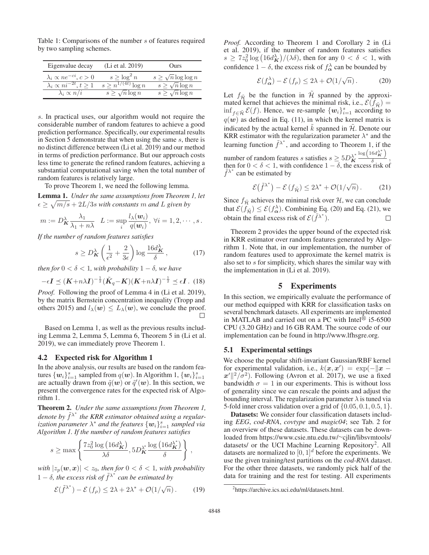Table 1: Comparisons of the number s of features required by two sampling schemes.

| Eigenvalue decay                       | (Li et al. 2019)         | Ours                          |
|----------------------------------------|--------------------------|-------------------------------|
| $\lambda_i \propto ne^{-ci}, c>0$      | $s \geq \log^2 n$        | $s \geq \sqrt{n} \log \log n$ |
| $\lambda_i \propto ni^{-2t}, t \geq 1$ | $s > n^{1/(4t)} \log n$  | $s \geq \sqrt{n} \log n$      |
| $\lambda_i \propto n/i$                | $s \geq \sqrt{n} \log n$ | $s \geq \sqrt{n} \log n$      |

s. In practical uses, our algorithm would not require the considerable number of random features to achieve a good prediction performance. Specifically, our experimental results in Section 5 demonstrate that when using the same s, there is no distinct difference between (Li et al. 2019) and our method in terms of prediction performance. But our approach costs less time to generate the refined random features, achieving a substantial computational saving when the total number of random features is relatively large.

To prove Theorem 1, we need the following lemma.

Lemma 1. *Under the same assumptions from Theorem 1, let*  $\epsilon \geq \sqrt{m/s} + 2L/3s$  *with constants* m *and* L given by

$$
m := D_{\mathbf{K}}^{\lambda} \frac{\lambda_1}{\lambda_1 + n\lambda} \quad L := \sup_{i} \frac{l_{\lambda}(\mathbf{w}_i)}{q(\mathbf{w}_i)}, \ \forall i = 1, 2, \cdots, s \, .
$$

*If the number of random features satisfies*

$$
s \ge D_K^{\lambda} \left( \frac{1}{\epsilon^2} + \frac{2}{3\epsilon} \right) \log \frac{16d_K^{\lambda}}{\delta}, \tag{17}
$$

*then for*  $0 < \delta < 1$ *, with probability*  $1 - \delta$ *, we have* 

$$
-\epsilon \mathbf{I} \preceq (\mathbf{K} + n\lambda \mathbf{I})^{-\frac{1}{2}} (\tilde{\mathbf{K}}_q - \mathbf{K}) (\mathbf{K} + n\lambda \mathbf{I})^{-\frac{1}{2}} \preceq \epsilon \mathbf{I}.
$$
 (18)

*Proof.* Following the proof of Lemma 4 in (Li et al. 2019), by the matrix Bernstein concentration inequality (Tropp and others 2015) and  $l_{\lambda}(\boldsymbol{w}) \leq L_{\lambda}(\boldsymbol{w})$ , we conclude the proof.  $\Box$ 

Based on Lemma 1, as well as the previous results including Lemma 2, Lemma 5, Lemma 6, Theorem 5 in (Li et al. 2019), we can immediately prove Theorem 1.

#### 4.2 Expected risk for Algorithm 1

In the above analysis, our results are based on the random features  $\{w_i\}_{i=1}^s$  sampled from  $q(w)$ . In Algorithm 1,  $\{w_i\}_{i=1}^s$ <br>are actually drawn from  $\tilde{q}(w)$  or  $\tilde{q}'(w)$ . In this section we are actually drawn from  $\tilde{q}(\boldsymbol{w})$  or  $\tilde{q}'(\boldsymbol{w})$ . In this section, we present the convergence rates for the expected risk of Algorithm 1.

Theorem 2. *Under the same assumptions from Theorem 1, denote by*  $\tilde{f}^{\lambda^*}$  the KRR estimator obtained using a regular*ization parameter*  $\lambda^*$  *and the features*  $\{w_i\}_{i=1}^s$  *sampled via*<br>Algorithm 1. If the number of random features satisfies *Algorithm 1. If the number of random features satisfies*

$$
s \geq \max \left\{ \frac{7z_0^2 \log (16d_K^{\lambda})}{\lambda \delta}, 5D_K^{\lambda^*} \frac{\log (16d_K^{\lambda^*})}{\delta} \right\},\,
$$

*with*  $|z_p(\mathbf{w}, \mathbf{x})| < z_0$ *, then for*  $0 < \delta < 1$ *, with probability*  $1 - \delta$ , the excess risk of  $\tilde{f}^{\lambda^*}$  can be estimated by

$$
\mathcal{E}(\tilde{f}^{\lambda^*}) - \mathcal{E}(f_{\rho}) \le 2\lambda + 2\lambda^* + \mathcal{O}(1/\sqrt{n}). \tag{19}
$$

*Proof.* According to Theorem 1 and Corollary 2 in (Li et al. 2019), if the number of random features satisfies  $s \geq 7z_0^2 \log \left( \frac{16d_K}{K} \right) / (\lambda \delta)$ , then for any  $0 < \delta < 1$ , with confidence  $1 - \delta$ , the excess risk of  $f_{\alpha}^{\lambda}$  can be bounded by

$$
\mathcal{E}(f_{\alpha}^{\lambda}) - \mathcal{E}(f_{\rho}) \le 2\lambda + \mathcal{O}(1/\sqrt{n}).
$$
 (20)

Let  $f_{\tilde{\mathcal{H}}}$  be the function in  $\tilde{\mathcal{H}}$  spanned by the approximated kernel that achieves the minimal risk, i.e.,  $\mathcal{E}(f_{\tilde{\mathcal{H}}}) =$  $\inf_{f \in \tilde{\mathcal{H}}} \mathcal{E}(f)$ . Hence, we re-sample  $\{w_i\}_{i=1}^s$  according to  $g(m)$  as defined in Eq. (11) in which the learnal metrix is  $q(w)$  as defined in Eq. (11), in which the kernel matrix is indicated by the actual kernel  $\tilde{k}$  spanned in  $\tilde{\mathcal{H}}$ . Denote our KRR estimator with the regularization parameter  $\lambda^*$  and the learning function  $\tilde{f}^{\lambda^*}$ , and according to Theorem 1, if the number of random features *s* satisfies  $s \geq 5D_K^{\lambda^*} \frac{\log(16d_K^{\lambda^*})}{\delta}$ , then for  $0 < \delta < 1$ , with confidence  $1 - \delta$ , the excess risk of  $\tilde{f}^{\lambda^*}$  can be estimated by  $\tilde{f}^{\lambda^*}$  can be estimated by

$$
\mathcal{E}(\tilde{f}^{\lambda^*}) - \mathcal{E}(f_{\tilde{\mathcal{H}}}) \le 2\lambda^* + \mathcal{O}(1/\sqrt{n}). \tag{21}
$$

Since  $f_{\tilde{\mathcal{H}}}$  achieves the minimal risk over  $\mathcal{H}$ , we can conclude that  $\mathcal{E}(f_{\tilde{\mathcal{H}}}) \leq \mathcal{E}(f_{\alpha}^{\lambda})$ . Combining Eq. (20) and Eq. (21), we obtain the final excess risk of  $\mathcal{E}(\tilde{f}^{\lambda^*})$ .  $\Box$ 

Theorem 2 provides the upper bound of the expected risk in KRR estimator over random features generated by Algorithm 1. Note that, in our implementation, the number of random features used to approximate the kernel matrix is also set to s for simplicity, which shares the similar way with the implementation in (Li et al. 2019).

### 5 Experiments

In this section, we empirically evaluate the performance of our method equipped with KRR for classification tasks on several benchmark datasets. All experiments are implemented in MATLAB and carried out on a PC with Intel $\textcircled{\tiny{B}}$  i5-6500 CPU (3.20 GHz) and 16 GB RAM. The source code of our implementation can be found in http://www.lfhsgre.org.

#### 5.1 Experimental settings

We choose the popular shift-invariant Gaussian/RBF kernel for experimental validation, i.e.,  $k(x, x') = \exp(-||x - y||)$  $x'\Vert^2/\sigma^2$ ). Following (Avron et al. 2017), we use a fixed bandwidth  $\sigma = 1$  in our experiments. This is without loss of generality since we can rescale the points and adjust the bounding interval. The regularization parameter  $\lambda$  is tuned via 5-fold inner cross validation over a grid of  $\{0.05, 0.1, 0.5, 1\}$ .

Datasets: We consider four classification datasets including *EEG*, *cod-RNA*, *covtype* and *magic04*; see Tab. 2 for an overview of these datasets. These datasets can be downloaded from https://www.csie.ntu.edu.tw/∼cjlin/libsvmtools/ datasets/ or the UCI Machine Learning Repository<sup>2</sup>. All datasets are normalized to  $[0, 1]^d$  before the experiments. We use the given training/test partitions on the *cod-RNA* dataset. For the other three datasets, we randomly pick half of the data for training and the rest for testing. All experiments

<sup>2</sup> https://archive.ics.uci.edu/ml/datasets.html.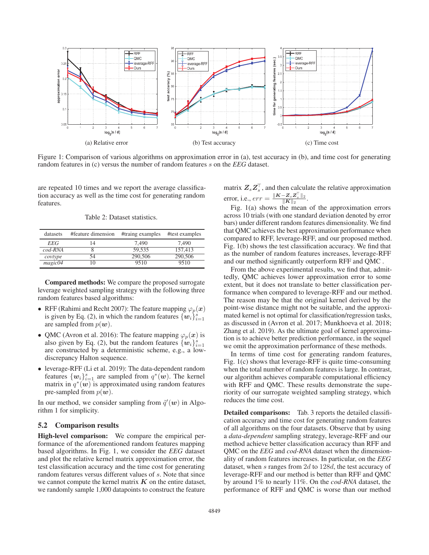

Figure 1: Comparison of various algorithms on approximation error in (a), test accuracy in (b), and time cost for generating random features in (c) versus the number of random features s on the *EEG* dataset.

are repeated 10 times and we report the average classification accuracy as well as the time cost for generating random features.

Table 2: Dataset statistics.

| datasets         | #feature dimension | #traing examples | #test examples |
|------------------|--------------------|------------------|----------------|
| EEG              | 14                 | 7.490            | 7.490          |
| $\text{cod-RNA}$ |                    | 59.535           | 157,413        |
| covtype          | 54                 | 290,506          | 290,506        |
| magic04          | 10                 | 9510             | 9510           |

Compared methods: We compare the proposed surrogate leverage weighted sampling strategy with the following three random features based algorithms:

- RFF (Rahimi and Recht 2007): The feature mapping  $\varphi_p(x)$ is given by Eq. (2), in which the random features  $\{w_i\}_{i=1}^{\infty}$ are sampled from  $p(w)$ .
- QMC (Avron et al. 2016): The feature mapping  $\varphi_p(x)$  is also given by Eq. (2), but the random features  $\{w_i\}_{i=1}^s$ also given by Eq. (2), but the random features  $\{w_i\}_{i=1}^{\infty}$  are constructed by a deterministic scheme, e.g., a lowdiscrepancy Halton sequence.
- leverage-RFF (Li et al. 2019): The data-dependent random features  $\{w_i\}_{i=1}^s$  are sampled from  $q^*(w)$ . The kernel<br>matrix in  $q^*(w)$  is approximated using random features matrix in  $q^*(w)$  is approximated using random features pre-sampled from  $p(w)$ .

In our method, we consider sampling from  $\tilde{q}'(w)$  in Algorithm 1 for simplicity.

#### 5.2 Comparison results

High-level comparison: We compare the empirical performance of the aforementioned random features mapping based algorithms. In Fig. 1, we consider the *EEG* dataset and plot the relative kernel matrix approximation error, the test classification accuracy and the time cost for generating random features versus different values of s. Note that since we cannot compute the kernel matrix  $K$  on the entire dataset, we randomly sample 1,000 datapoints to construct the feature

matrix  $Z_s Z_s^+$ , and then calculate the relative approximation error, i.e.,  $err = \frac{\|K - Z_s Z_s^{\dagger}\|_2}{\|K\|_2}$ .

Fig. 1(a) shows the mean of the approximation errors across 10 trials (with one standard deviation denoted by error bars) under different random features dimensionality. We find that QMC achieves the best approximation performance when compared to RFF, leverage-RFF, and our proposed method. Fig. 1(b) shows the test classification accuracy. We find that as the number of random features increases, leverage-RFF and our method significantly outperform RFF and QMC .

From the above experimental results, we find that, admittedly, QMC achieves lower approximation error to some extent, but it does not translate to better classification performance when compared to leverage-RFF and our method. The reason may be that the original kernel derived by the point-wise distance might not be suitable, and the approximated kernel is not optimal for classification/regression tasks, as discussed in (Avron et al. 2017; Munkhoeva et al. 2018; Zhang et al. 2019). As the ultimate goal of kernel approximation is to achieve better prediction performance, in the sequel we omit the approximation performance of these methods.

In terms of time cost for generating random features, Fig. 1(c) shows that leverage-RFF is quite time-consuming when the total number of random features is large. In contrast, our algorithm achieves comparable computational efficiency with RFF and QMC. These results demonstrate the superiority of our surrogate weighted sampling strategy, which reduces the time cost.

Detailed comparisons: Tab. 3 reports the detailed classification accuracy and time cost for generating random features of all algorithms on the four datasets. Observe that by using a *data-dependent* sampling strategy, leverage-RFF and our method achieve better classification accuracy than RFF and QMC on the *EEG* and *cod-RNA* dataset when the dimensionality of random features increases. In particular, on the *EEG* dataset, when s ranges from 2d to 128d, the test accuracy of leverage-RFF and our method is better than RFF and QMC by around 1% to nearly 11%. On the *cod-RNA* dataset, the performance of RFF and QMC is worse than our method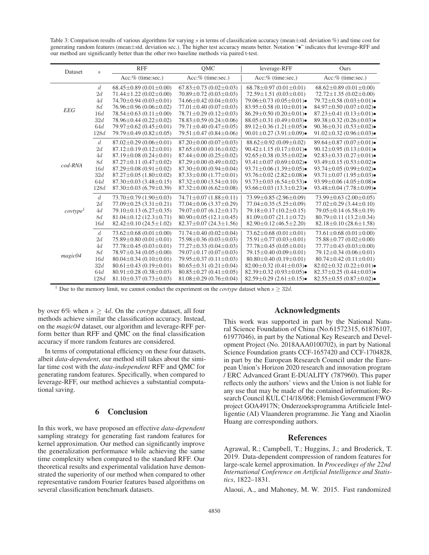Table 3: Comparison results of various algorithms for varying s in terms of classification accuracy (mean $\pm$ std. deviation %) and time cost for generating random features (mean±std. deviation sec.). The higher test accuracy means better. Notation "•" indicates that leverage-RFF and our method are significantly better than the other two baseline methods via paired t-test.

| Dataset               | $\boldsymbol{s}$ | <b>RFF</b>                         | QMC                                | leverage-RFF                                 | Ours                                         |
|-----------------------|------------------|------------------------------------|------------------------------------|----------------------------------------------|----------------------------------------------|
|                       |                  | Acc:% (time:sec.)                  | Acc:% (time:sec.)                  | Acc:% (time:sec.)                            | Acc:% (time:sec.)                            |
| <b>EEG</b>            | d                | $68.45 \pm 0.89$ (0.01 $\pm$ 0.00) | $67.83 \pm 0.73$ (0.02 $\pm$ 0.03) | $68.78 \pm 0.97$ (0.01 $\pm$ 0.01)           | $68.62 \pm 0.89$ (0.01 $\pm$ 0.00)           |
|                       | 2d               | $71.44 \pm 1.22$ (0.02 $\pm$ 0.00) | $70.89 \pm 0.72$ (0.03 $\pm$ 0.03) | $72.59 \pm 1.51(0.03 \pm 0.01)$              | $72.72 \pm 1.35(0.02 \pm 0.00)$              |
|                       | 4d               | $74.70 \pm 0.94$ (0.03 $\pm$ 0.01) | $74.66 \pm 0.42$ (0.04 $\pm$ 0.03) | 79.06 $\pm$ 0.73 (0.05 $\pm$ 0.01) $\bullet$ | 79.72 $\pm$ 0.58 (0.03 $\pm$ 0.01) $\bullet$ |
|                       | <i>8d</i>        | $76.96 \pm 0.96$ (0.06 $\pm$ 0.02) | $77.01 \pm 0.40$ (0.07 $\pm$ 0.03) | $83.95 \pm 0.58$ (0.10 $\pm$ 0.01) $\bullet$ | 84.97 $\pm$ 0.50 (0.07 $\pm$ 0.02) $\bullet$ |
|                       | 16d              | $78.54 \pm 0.63$ (0.11 $\pm$ 0.00) | $78.71 \pm 0.29$ (0.12 $\pm$ 0.03) | $86.29 \pm 0.50$ (0.20 $\pm$ 0.01) $\bullet$ | $87.23 \pm 0.41$ (0.13 $\pm$ 0.01) $\bullet$ |
|                       | 32d              | $78.96 \pm 0.44$ (0.22 $\pm$ 0.02) | $78.83 \pm 0.59$ (0.24 $\pm$ 0.06) | 88.05 $\pm$ 0.31 (0.49 $\pm$ 0.03) $\bullet$ | $89.38 \pm 0.32$ (0.26 $\pm$ 0.03) $\bullet$ |
|                       | 64d              | $79.97 \pm 0.62$ (0.45 $\pm$ 0.01) | $79.71 \pm 0.40$ (0.47 $\pm$ 0.05) | $89.12 \pm 0.36$ (1.21 $\pm$ 0.05) $\bullet$ | 90.36 $\pm$ 0.31 (0.53 $\pm$ 0.02) $\bullet$ |
|                       | 128d             | $79.79 \pm 0.49$ (0.82 $\pm$ 0.05) | $79.51 \pm 0.47$ (0.84 $\pm$ 0.06) | 90.01 $\pm$ 0.27 (3.91 $\pm$ 0.09) $\bullet$ | 91.02 $\pm$ 0.32 (0.96 $\pm$ 0.03) $\bullet$ |
|                       | d                | $87.02 \pm 0.29$ (0.06 $\pm$ 0.01) | $87.20 \pm 0.00$ (0.07 $\pm$ 0.03) | $88.62 \pm 0.92$ (0.09 $\pm$ 0.02)           | $89.64 \pm 0.87$ (0.07 $\pm$ 0.01) $\bullet$ |
|                       | 2d               | $87.12 \pm 0.19$ (0.12 $\pm$ 0.01) | $87.65 \pm 0.00$ (0.16 $\pm$ 0.02) | $90.42 \pm 1.15(0.17 \pm 0.01)$              | 90.12 $\pm$ 0.95 (0.13 $\pm$ 0.01) $\bullet$ |
|                       | 4d               | $87.19 \pm 0.08$ (0.24 $\pm$ 0.01) | $87.44 \pm 0.00$ (0.25 $\pm$ 0.02) | 92.65 $\pm$ 0.38 (0.35 $\pm$ 0.02) $\bullet$ | 92.83 $\pm$ 0.33 (0.27 $\pm$ 0.01) $\bullet$ |
| $cod-RNA$             | <i>8d</i>        | $87.27 \pm 0.11$ (0.47 $\pm$ 0.02) | $87.29 \pm 0.00$ (0.49 $\pm$ 0.02) | 93.41 $\pm$ 0.07 (0.69 $\pm$ 0.02) $\bullet$ | 93.49 $\pm$ 0.15 (0.53 $\pm$ 0.02) $\bullet$ |
|                       | 16d              | $87.29 \pm 0.08$ (0.91 $\pm$ 0.02) | $87.30 \pm 0.00$ (0.94 $\pm$ 0.04) | 93.71 $\pm$ 0.06 (1.39 $\pm$ 0.05) $\bullet$ | 93.74 $\pm$ 0.05 (0.99 $\pm$ 0.02) $\bullet$ |
|                       | 32d              | $87.27 \pm 0.05$ (1.80 $\pm$ 0.02) | $87.33 \pm 0.00$ (1.77 $\pm$ 0.01) | 93.76 $\pm$ 0.02 (2.82 $\pm$ 0.08) $\bullet$ | 93.71 $\pm$ 0.07 (1.95 $\pm$ 0.03) $\bullet$ |
|                       | 64d              | $87.30 \pm 0.03$ (3.48 $\pm$ 0.15) | $87.32 \pm 0.00$ (3.54 $\pm$ 0.10) | 93.73 $\pm$ 0.03 (6.54 $\pm$ 0.53) $\bullet$ | 93.99 $\pm$ 0.06 (4.05 $\pm$ 0.08) $\bullet$ |
|                       | 128d             | $87.30 \pm 0.03$ (6.79 $\pm$ 0.39) | $87.32 \pm 0.00$ (6.62 $\pm$ 0.08) | 93.66 $\pm$ 0.03 (13.3 $\pm$ 0.23) $\bullet$ | 93.48 $\pm$ 0.04 (7.78 $\pm$ 0.09) $\bullet$ |
|                       | d                | $73.70 \pm 0.79$ (1.90 $\pm$ 0.03) | $74.71 \pm 0.07$ $(1.88 \pm 0.11)$ | $73.99 \pm 0.85$ (2.96 $\pm$ 0.09)           | $73.99 \pm 0.63$ (2.00 $\pm$ 0.05)           |
| cov type <sup>1</sup> | 2d               | $77.09 \pm 0.25$ (3.31 $\pm$ 0.21) | $77.04 \pm 0.06$ (3.37 $\pm$ 0.29) | $77.04 \pm 0.35(5.25 \pm 0.09)$              | $77.02 \pm 0.29$ (3.44 $\pm$ 0.10)           |
|                       | 4d               | $79.10 \pm 0.13$ (6.27 $\pm$ 0.35) | $79.07 \pm 0.07$ (6.12 $\pm$ 0.17) | $79.18 \pm 0.17$ (10.2 $\pm$ 0.15)           | $79.05 \pm 0.14$ (6.58 $\pm$ 0.19)           |
|                       | <i>8d</i>        | $81.04 \pm 0.12$ (12.3 $\pm$ 0.71) | $80.90 \pm 0.05$ (12.1 $\pm$ 0.45) | $81.09 \pm 0.07$ (21.1 $\pm$ 0.72)           | $80.79 \pm 0.11(13.2 \pm 0.34)$              |
|                       | 16d              | $82.42 \pm 0.10$ (24.5 $\pm$ 1.02) | $82.37 \pm 0.07$ (24.3 $\pm$ 1.56) | $82.90 \pm 0.12$ (46.5 $\pm$ 2.20)           | $82.18 \pm 0.10$ (28.6 $\pm$ 1.58)           |
| magic04               | d                | $73.62 \pm 0.68$ (0.01 $\pm$ 0.00) | $71.74 \pm 0.40$ (0.02 $\pm$ 0.04) | $73.62 \pm 0.68$ (0.01 $\pm$ 0.01)           | $73.61 \pm 0.68$ (0.01 $\pm$ 0.00)           |
|                       | 2d               | $75.89 \pm 0.80$ (0.01 $\pm$ 0.01) | $75.98 \pm 0.36$ (0.03 $\pm$ 0.03) | $75.91 \pm 0.77$ (0.03 $\pm$ 0.01)           | $75.88 \pm 0.77$ (0.02 $\pm$ 0.00)           |
|                       | 4d               | $77.78 \pm 0.45$ (0.03 $\pm$ 0.01) | $77.27 \pm 0.33$ (0.04 $\pm$ 0.03) | $77.78 \pm 0.45$ (0.05 $\pm$ 0.01)           | $77.77 \pm 0.43$ (0.03 $\pm$ 0.00)           |
|                       | <i>8d</i>        | $78.97 \pm 0.34$ (0.05 $\pm$ 0.00) | $79.07 \pm 0.17$ (0.07 $\pm$ 0.03) | 79.15±0.40 (0.09±0.01)                       | 79.12±0.34 (0.06±0.01)                       |
|                       | 16d              | $80.04 \pm 0.34$ (0.10 $\pm$ 0.01) | $79.95 \pm 0.37$ (0.11 $\pm$ 0.03) | $80.80 \pm 0.40$ (0.19 $\pm$ 0.01)           | $80.74 \pm 0.42$ (0.11 $\pm$ 0.01)           |
|                       | 32d              | $80.61 \pm 0.43$ (0.19 $\pm$ 0.01) | $80.65 \pm 0.31(0.21 \pm 0.04)$    | 82.00 $\pm$ 0.32 (0.41 $\pm$ 0.03) $\bullet$ | $82.02 \pm 0.32$ (0.22 $\pm$ 0.01) $\bullet$ |
|                       | 64d              | $80.91 \pm 0.28$ (0.38 $\pm$ 0.03) | $80.85 \pm 0.27$ (0.41 $\pm$ 0.05) | 82.39 $\pm$ 0.32 (0.93 $\pm$ 0.05) $\bullet$ | 82.37 $\pm$ 0.25 (0.44 $\pm$ 0.03) $\bullet$ |
|                       | 128d             | $81.10\pm0.37(0.73\pm0.03)$        | $81.08 \pm 0.29$ (0.76 $\pm$ 0.04) | $82.59 \pm 0.29$ (2.61 $\pm$ 0.15) $\bullet$ | 82.55 $\pm$ 0.55 (0.87 $\pm$ 0.02) $\bullet$ |

<sup>1</sup> Due to the memory limit, we cannot conduct the experiment on the *covtype* dataset when  $s \geq 32d$ .

by over 6% when  $s \geq 4d$ . On the *covtype* dataset, all four methods achieve similar the classification accuracy. Instead, on the *magic04* dataset, our algorithm and leverage-RFF perform better than RFF and QMC on the final classification accuracy if more random features are considered.

In terms of computational efficiency on these four datasets, albeit *data-dependent*, our method still takes about the similar time cost with the *data-independent* RFF and QMC for generating random features. Specifically, when compared to leverage-RFF, our method achieves a substantial computational saving.

### 6 Conclusion

In this work, we have proposed an effective *data-dependent* sampling strategy for generating fast random features for kernel approximation. Our method can significantly improve the generalization performance while achieving the same time complexity when compared to the standard RFF. Our theoretical results and experimental validation have demonstrated the superiority of our method when compared to other representative random Fourier features based algorithms on several classification benchmark datasets.

## Acknowledgments

This work was supported in part by the National Natural Science Foundation of China (No.61572315, 61876107, 61977046), in part by the National Key Research and Development Project (No. 2018AAA0100702), in part by National Science Foundation grants CCF-1657420 and CCF-1704828, in part by the European Research Council under the European Union's Horizon 2020 research and innovation program / ERC Advanced Grant E-DUALITY (787960). This paper reflects only the authors' views and the Union is not liable for any use that may be made of the contained information; Research Council KUL C14/18/068; Flemish Government FWO project GOA4917N; Onderzoeksprogramma Artificiele Intelligentie (AI) Vlaanderen programme. Jie Yang and Xiaolin Huang are corresponding authors.

#### References

Agrawal, R.; Campbell, T.; Huggins, J.; and Broderick, T. 2019. Data-dependent compression of random features for large-scale kernel approximation. In *Proceedings of the 22nd International Conference on Artificial Intelligence and Statistics*, 1822–1831.

Alaoui, A., and Mahoney, M. W. 2015. Fast randomized